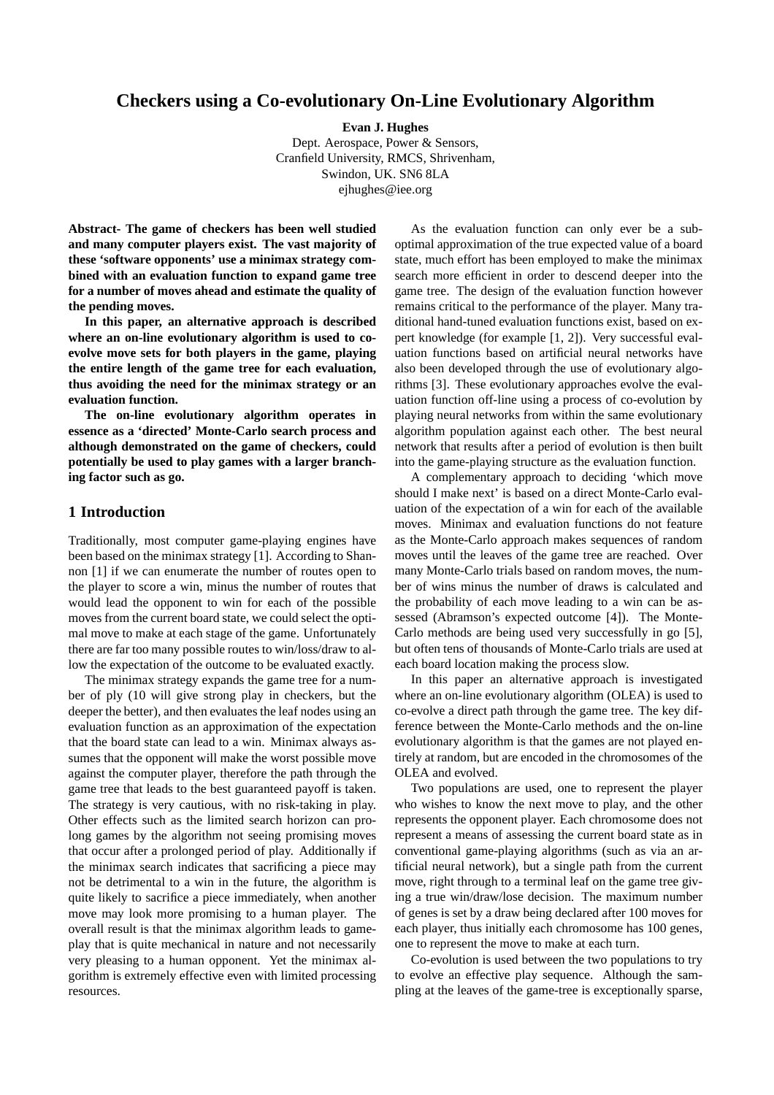# **Checkers using a Co-evolutionary On-Line Evolutionary Algorithm**

**Evan J. Hughes**

Dept. Aerospace, Power & Sensors, Cranfield University, RMCS, Shrivenham, Swindon, UK. SN6 8LA ejhughes@iee.org

**Abstract- The game of checkers has been well studied and many computer players exist. The vast majority of these 'software opponents' use a minimax strategy combined with an evaluation function to expand game tree for a number of moves ahead and estimate the quality of the pending moves.**

**In this paper, an alternative approach is described where an on-line evolutionary algorithm is used to coevolve move sets for both players in the game, playing the entire length of the game tree for each evaluation, thus avoiding the need for the minimax strategy or an evaluation function.**

**The on-line evolutionary algorithm operates in essence as a 'directed' Monte-Carlo search process and although demonstrated on the game of checkers, could potentially be used to play games with a larger branching factor such as go.**

# **1 Introduction**

Traditionally, most computer game-playing engines have been based on the minimax strategy [1]. According to Shannon [1] if we can enumerate the number of routes open to the player to score a win, minus the number of routes that would lead the opponent to win for each of the possible moves from the current board state, we could select the optimal move to make at each stage of the game. Unfortunately there are far too many possible routes to win/loss/draw to allow the expectation of the outcome to be evaluated exactly.

The minimax strategy expands the game tree for a number of ply (10 will give strong play in checkers, but the deeper the better), and then evaluates the leaf nodes using an evaluation function as an approximation of the expectation that the board state can lead to a win. Minimax always assumes that the opponent will make the worst possible move against the computer player, therefore the path through the game tree that leads to the best guaranteed payoff is taken. The strategy is very cautious, with no risk-taking in play. Other effects such as the limited search horizon can prolong games by the algorithm not seeing promising moves that occur after a prolonged period of play. Additionally if the minimax search indicates that sacrificing a piece may not be detrimental to a win in the future, the algorithm is quite likely to sacrifice a piece immediately, when another move may look more promising to a human player. The overall result is that the minimax algorithm leads to gameplay that is quite mechanical in nature and not necessarily very pleasing to a human opponent. Yet the minimax algorithm is extremely effective even with limited processing resources.

As the evaluation function can only ever be a suboptimal approximation of the true expected value of a board state, much effort has been employed to make the minimax search more efficient in order to descend deeper into the game tree. The design of the evaluation function however remains critical to the performance of the player. Many traditional hand-tuned evaluation functions exist, based on expert knowledge (for example [1, 2]). Very successful evaluation functions based on artificial neural networks have also been developed through the use of evolutionary algorithms [3]. These evolutionary approaches evolve the evaluation function off-line using a process of co-evolution by playing neural networks from within the same evolutionary algorithm population against each other. The best neural network that results after a period of evolution is then built into the game-playing structure as the evaluation function.

A complementary approach to deciding 'which move should I make next' is based on a direct Monte-Carlo evaluation of the expectation of a win for each of the available moves. Minimax and evaluation functions do not feature as the Monte-Carlo approach makes sequences of random moves until the leaves of the game tree are reached. Over many Monte-Carlo trials based on random moves, the number of wins minus the number of draws is calculated and the probability of each move leading to a win can be assessed (Abramson's expected outcome [4]). The Monte-Carlo methods are being used very successfully in go [5], but often tens of thousands of Monte-Carlo trials are used at each board location making the process slow.

In this paper an alternative approach is investigated where an on-line evolutionary algorithm (OLEA) is used to co-evolve a direct path through the game tree. The key difference between the Monte-Carlo methods and the on-line evolutionary algorithm is that the games are not played entirely at random, but are encoded in the chromosomes of the OLEA and evolved.

Two populations are used, one to represent the player who wishes to know the next move to play, and the other represents the opponent player. Each chromosome does not represent a means of assessing the current board state as in conventional game-playing algorithms (such as via an artificial neural network), but a single path from the current move, right through to a terminal leaf on the game tree giving a true win/draw/lose decision. The maximum number of genes is set by a draw being declared after 100 moves for each player, thus initially each chromosome has 100 genes, one to represent the move to make at each turn.

Co-evolution is used between the two populations to try to evolve an effective play sequence. Although the sampling at the leaves of the game-tree is exceptionally sparse,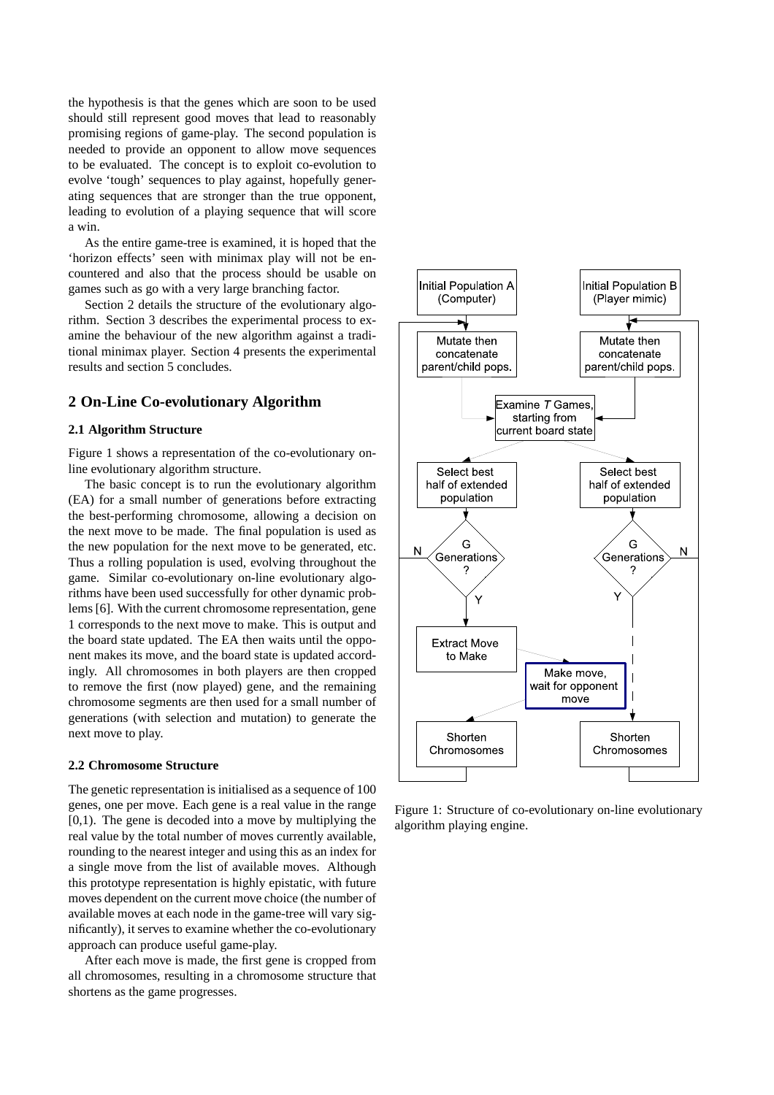the hypothesis is that the genes which are soon to be used should still represent good moves that lead to reasonably promising regions of game-play. The second population is needed to provide an opponent to allow move sequences to be evaluated. The concept is to exploit co-evolution to evolve 'tough' sequences to play against, hopefully generating sequences that are stronger than the true opponent, leading to evolution of a playing sequence that will score a win.

As the entire game-tree is examined, it is hoped that the 'horizon effects' seen with minimax play will not be encountered and also that the process should be usable on games such as go with a very large branching factor.

Section 2 details the structure of the evolutionary algorithm. Section 3 describes the experimental process to examine the behaviour of the new algorithm against a traditional minimax player. Section 4 presents the experimental results and section 5 concludes.

### **2 On-Line Co-evolutionary Algorithm**

#### **2.1 Algorithm Structure**

Figure 1 shows a representation of the co-evolutionary online evolutionary algorithm structure.

The basic concept is to run the evolutionary algorithm (EA) for a small number of generations before extracting the best-performing chromosome, allowing a decision on the next move to be made. The final population is used as the new population for the next move to be generated, etc. Thus a rolling population is used, evolving throughout the game. Similar co-evolutionary on-line evolutionary algorithms have been used successfully for other dynamic problems [6]. With the current chromosome representation, gene 1 corresponds to the next move to make. This is output and the board state updated. The EA then waits until the opponent makes its move, and the board state is updated accordingly. All chromosomes in both players are then cropped to remove the first (now played) gene, and the remaining chromosome segments are then used for a small number of generations (with selection and mutation) to generate the next move to play.

#### **2.2 Chromosome Structure**

The genetic representation is initialised as a sequence of 100 genes, one per move. Each gene is a real value in the range [0,1). The gene is decoded into a move by multiplying the real value by the total number of moves currently available, rounding to the nearest integer and using this as an index for a single move from the list of available moves. Although this prototype representation is highly epistatic, with future moves dependent on the current move choice (the number of available moves at each node in the game-tree will vary significantly), it serves to examine whether the co-evolutionary approach can produce useful game-play.

After each move is made, the first gene is cropped from all chromosomes, resulting in a chromosome structure that shortens as the game progresses.



Figure 1: Structure of co-evolutionary on-line evolutionary algorithm playing engine.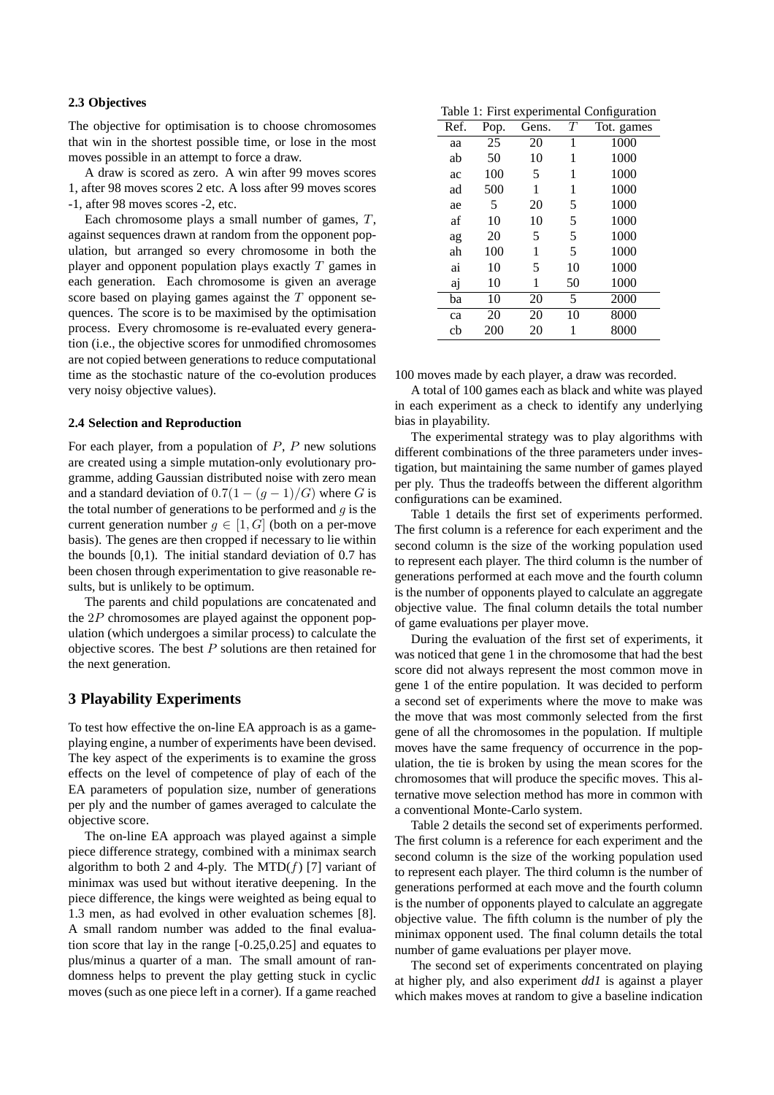#### **2.3 Objectives**

The objective for optimisation is to choose chromosomes that win in the shortest possible time, or lose in the most moves possible in an attempt to force a draw.

A draw is scored as zero. A win after 99 moves scores 1, after 98 moves scores 2 etc. A loss after 99 moves scores -1, after 98 moves scores -2, etc.

Each chromosome plays a small number of games, T, against sequences drawn at random from the opponent population, but arranged so every chromosome in both the player and opponent population plays exactly  $T$  games in each generation. Each chromosome is given an average score based on playing games against the  $T$  opponent sequences. The score is to be maximised by the optimisation process. Every chromosome is re-evaluated every generation (i.e., the objective scores for unmodified chromosomes are not copied between generations to reduce computational time as the stochastic nature of the co-evolution produces very noisy objective values).

#### **2.4 Selection and Reproduction**

For each player, from a population of  $P$ ,  $P$  new solutions are created using a simple mutation-only evolutionary programme, adding Gaussian distributed noise with zero mean and a standard deviation of  $0.7(1 - (q - 1)/G)$  where G is the total number of generations to be performed and  $q$  is the current generation number  $q \in [1, G]$  (both on a per-move basis). The genes are then cropped if necessary to lie within the bounds  $[0,1)$ . The initial standard deviation of 0.7 has been chosen through experimentation to give reasonable results, but is unlikely to be optimum.

The parents and child populations are concatenated and the 2P chromosomes are played against the opponent population (which undergoes a similar process) to calculate the objective scores. The best  $P$  solutions are then retained for the next generation.

### **3 Playability Experiments**

To test how effective the on-line EA approach is as a gameplaying engine, a number of experiments have been devised. The key aspect of the experiments is to examine the gross effects on the level of competence of play of each of the EA parameters of population size, number of generations per ply and the number of games averaged to calculate the objective score.

The on-line EA approach was played against a simple piece difference strategy, combined with a minimax search algorithm to both 2 and 4-ply. The MTD $(f)$  [7] variant of minimax was used but without iterative deepening. In the piece difference, the kings were weighted as being equal to 1.3 men, as had evolved in other evaluation schemes [8]. A small random number was added to the final evaluation score that lay in the range [-0.25,0.25] and equates to plus/minus a quarter of a man. The small amount of randomness helps to prevent the play getting stuck in cyclic moves (such as one piece left in a corner). If a game reached

Table 1: First experimental Configuration

| Ref. | Pop. | Gens. | $\tau$ | Tot. games |
|------|------|-------|--------|------------|
| aa   | 25   | 20    | 1      | 1000       |
| ab   | 50   | 10    | 1      | 1000       |
| ac   | 100  | 5     | 1      | 1000       |
| ad   | 500  | 1     | 1      | 1000       |
| ae   | 5    | 20    | 5      | 1000       |
| af   | 10   | 10    | 5      | 1000       |
| ag   | 20   | 5     | 5      | 1000       |
| ah   | 100  | 1     | 5      | 1000       |
| ai   | 10   | 5     | 10     | 1000       |
| aj   | 10   | 1     | 50     | 1000       |
| ba   | 10   | 20    | 5      | 2000       |
| ca   | 20   | 20    | 10     | 8000       |
| cb   | 200  | 20    | 1      | 8000       |

100 moves made by each player, a draw was recorded.

A total of 100 games each as black and white was played in each experiment as a check to identify any underlying bias in playability.

The experimental strategy was to play algorithms with different combinations of the three parameters under investigation, but maintaining the same number of games played per ply. Thus the tradeoffs between the different algorithm configurations can be examined.

Table 1 details the first set of experiments performed. The first column is a reference for each experiment and the second column is the size of the working population used to represent each player. The third column is the number of generations performed at each move and the fourth column is the number of opponents played to calculate an aggregate objective value. The final column details the total number of game evaluations per player move.

During the evaluation of the first set of experiments, it was noticed that gene 1 in the chromosome that had the best score did not always represent the most common move in gene 1 of the entire population. It was decided to perform a second set of experiments where the move to make was the move that was most commonly selected from the first gene of all the chromosomes in the population. If multiple moves have the same frequency of occurrence in the population, the tie is broken by using the mean scores for the chromosomes that will produce the specific moves. This alternative move selection method has more in common with a conventional Monte-Carlo system.

Table 2 details the second set of experiments performed. The first column is a reference for each experiment and the second column is the size of the working population used to represent each player. The third column is the number of generations performed at each move and the fourth column is the number of opponents played to calculate an aggregate objective value. The fifth column is the number of ply the minimax opponent used. The final column details the total number of game evaluations per player move.

The second set of experiments concentrated on playing at higher ply, and also experiment *dd1* is against a player which makes moves at random to give a baseline indication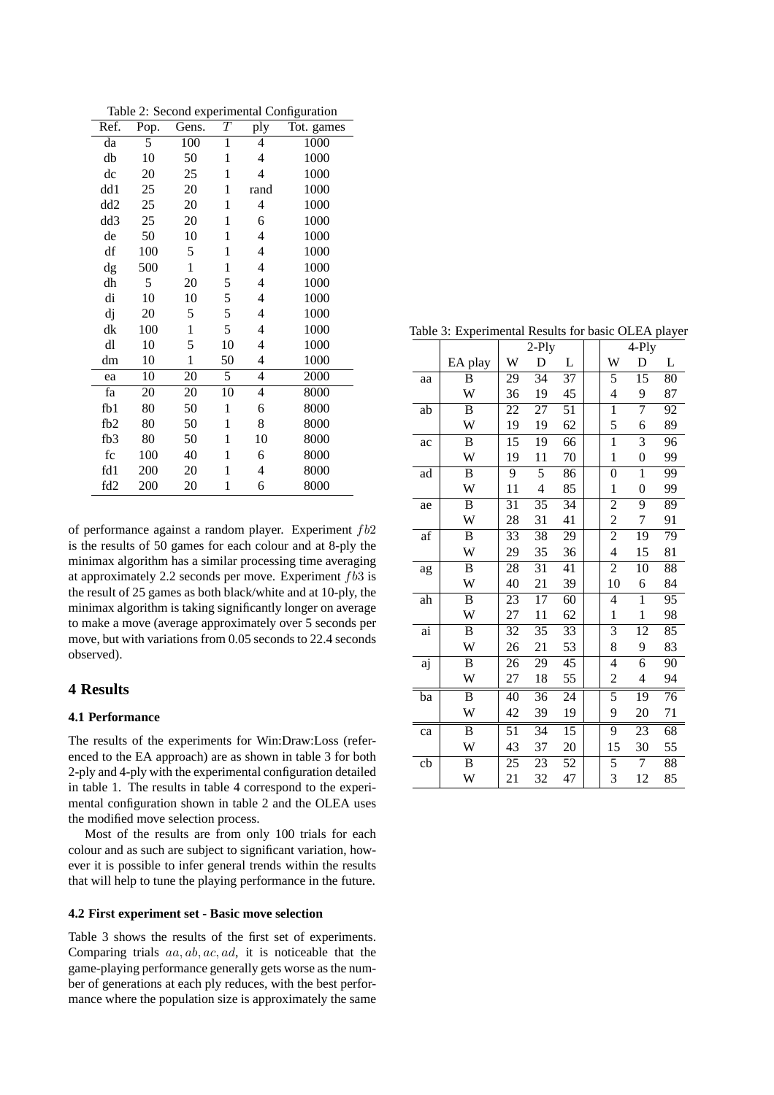| Table 2: Second experimental Configuration |  |
|--------------------------------------------|--|
|                                            |  |

| Ref.            | Pop. | Gens.        | Т            | ply  | Tot. games |
|-----------------|------|--------------|--------------|------|------------|
| da              | 5    | 100          | $\mathbf{1}$ | 4    | 1000       |
| db              | 10   | 50           | 1            | 4    | 1000       |
| dc              | 20   | 25           | 1            | 4    | 1000       |
| dd 1            | 25   | 20           | 1            | rand | 1000       |
| dd <sub>2</sub> | 25   | 20           | 1            | 4    | 1000       |
| dd3             | 25   | 20           | 1            | 6    | 1000       |
| de              | 50   | 10           | $\mathbf{1}$ | 4    | 1000       |
| df              | 100  | 5            | $\mathbf{1}$ | 4    | 1000       |
| dg              | 500  | $\mathbf{1}$ | 1            | 4    | 1000       |
| dh              | 5    | 20           | 5            | 4    | 1000       |
| di              | 10   | 10           | 5            | 4    | 1000       |
| dj              | 20   | 5            | 5            | 4    | 1000       |
| dk              | 100  | $\mathbf{1}$ | 5            | 4    | 1000       |
| dl              | 10   | 5            | 10           | 4    | 1000       |
| dm              | 10   | $\mathbf{1}$ | 50           | 4    | 1000       |
| ea              | 10   | 20           | 5            | 4    | 2000       |
| fa              | 20   | 20           | 10           | 4    | 8000       |
| fb1             | 80   | 50           | $\mathbf{1}$ | 6    | 8000       |
| fb <sub>2</sub> | 80   | 50           | $\mathbf{1}$ | 8    | 8000       |
| fb3             | 80   | 50           | 1            | 10   | 8000       |
| fc              | 100  | 40           | 1            | 6    | 8000       |
| fd1             | 200  | 20           | 1            | 4    | 8000       |
| fd <sub>2</sub> | 200  | 20           | 1            | 6    | 8000       |

of performance against a random player. Experiment  $fb2$ is the results of 50 games for each colour and at 8-ply the minimax algorithm has a similar processing time averaging at approximately 2.2 seconds per move. Experiment fb3 is the result of 25 games as both black/white and at 10-ply, the minimax algorithm is taking significantly longer on average to make a move (average approximately over 5 seconds per move, but with variations from 0.05 seconds to 22.4 seconds observed).

## **4 Results**

### **4.1 Performance**

The results of the experiments for Win:Draw:Loss (referenced to the EA approach) are as shown in table 3 for both 2-ply and 4-ply with the experimental configuration detailed in table 1. The results in table 4 correspond to the experimental configuration shown in table 2 and the OLEA uses the modified move selection process.

Most of the results are from only 100 trials for each colour and as such are subject to significant variation, however it is possible to infer general trends within the results that will help to tune the playing performance in the future.

#### **4.2 First experiment set - Basic move selection**

Table 3 shows the results of the first set of experiments. Comparing trials aa, ab, ac, ad, it is noticeable that the game-playing performance generally gets worse as the number of generations at each ply reduces, with the best performance where the population size is approximately the same

Table 3: Experimental Results for basic OLEA player

|    |         |    | $2-Ply$                  |                 |                | 4-Ply            |    |
|----|---------|----|--------------------------|-----------------|----------------|------------------|----|
|    | EA play | W  | D                        | L               | W              | D                | L  |
| aa | B       | 29 | $\overline{3}4$          | $\overline{37}$ | 5              | 15               | 80 |
|    | W       | 36 | 19                       | 45              | 4              | 9                | 87 |
| ab | B       | 22 | 27                       | 51              | $\overline{1}$ | 7                | 92 |
|    | W       | 19 | 19                       | 62              | 5              | 6                | 89 |
| ac | B       | 15 | 19                       | 66              | $\overline{1}$ | 3                | 96 |
|    | W       | 19 | 11                       | 70              | $\mathbf{1}$   | $\boldsymbol{0}$ | 99 |
| ad | B       | 9  | $\overline{5}$           | 86              | $\overline{0}$ | $\mathbf{1}$     | 99 |
|    | W       | 11 | $\overline{\mathcal{L}}$ | 85              | $\mathbf{1}$   | $\overline{0}$   | 99 |
| ae | B       | 31 | 35                       | 34              | $\overline{c}$ | 9                | 89 |
|    | W       | 28 | 31                       | 41              | $\overline{c}$ | 7                | 91 |
| af | B       | 33 | $\overline{38}$          | 29              | $\overline{2}$ | 19               | 79 |
|    | W       | 29 | 35                       | 36              | $\overline{4}$ | 15               | 81 |
| ag | B       | 28 | 31                       | 41              | $\overline{c}$ | 10               | 88 |
|    | W       | 40 | 21                       | 39              | 10             | 6                | 84 |
| ah | B       | 23 | 17                       | 60              | 4              | 1                | 95 |
|    | W       | 27 | 11                       | 62              | $\mathbf{1}$   | $\mathbf{1}$     | 98 |
| ai | B       | 32 | 35                       | 33              | $\overline{3}$ | 12               | 85 |
|    | W       | 26 | 21                       | 53              | 8              | 9                | 83 |
| aj | B       | 26 | 29                       | 45              | 4              | 6                | 90 |
|    | W       | 27 | 18                       | 55              | $\overline{c}$ | 4                | 94 |
| ba | B       | 40 | 36                       | 24              | 5              | 19               | 76 |
|    | W       | 42 | 39                       | 19              | 9              | 20               | 71 |
| ca | B       | 51 | 34                       | $\overline{15}$ | 9              | 23               | 68 |
|    | W       | 43 | 37                       | 20              | 15             | 30               | 55 |
| cb | B       | 25 | 23                       | 52              | 5              | 7                | 88 |
|    | W       | 21 | 32                       | 47              | 3              | 12               | 85 |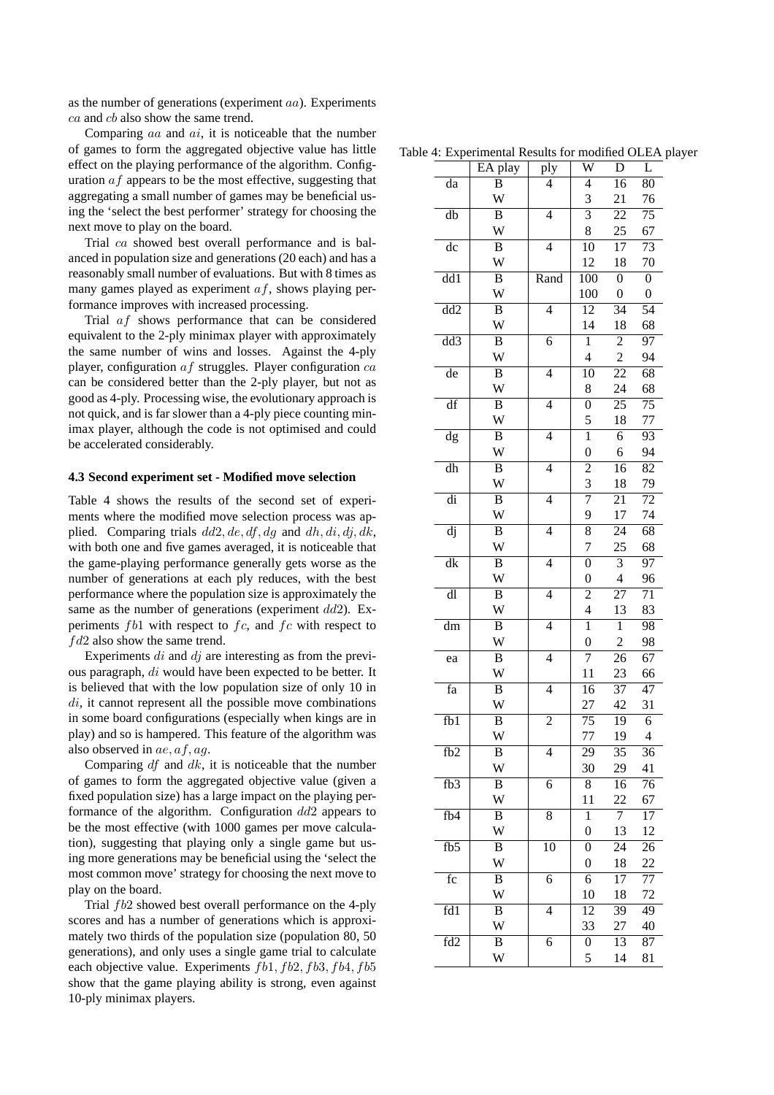as the number of generations (experiment aa). Experiments ca and cb also show the same trend.

Comparing  $aa$  and  $ai$ , it is noticeable that the number of games to form the aggregated objective value has little effect on the playing performance of the algorithm. Configuration  $af$  appears to be the most effective, suggesting that aggregating a small number of games may be beneficial using the 'select the best performer' strategy for choosing the next move to play on the board.

Trial ca showed best overall performance and is balanced in population size and generations (20 each) and has a reasonably small number of evaluations. But with 8 times as many games played as experiment  $af$ , shows playing performance improves with increased processing.

Trial af shows performance that can be considered equivalent to the 2-ply minimax player with approximately the same number of wins and losses. Against the 4-ply player, configuration  $af$  struggles. Player configuration  $ca$ can be considered better than the 2-ply player, but not as good as 4-ply. Processing wise, the evolutionary approach is not quick, and is far slower than a 4-ply piece counting minimax player, although the code is not optimised and could be accelerated considerably.

#### **4.3 Second experiment set - Modified move selection**

Table 4 shows the results of the second set of experiments where the modified move selection process was applied. Comparing trials  $dd2, de, df, dg$  and  $dh, di, dj, dk$ , with both one and five games averaged, it is noticeable that the game-playing performance generally gets worse as the number of generations at each ply reduces, with the best performance where the population size is approximately the same as the number of generations (experiment  $dd2$ ). Experiments  $fb1$  with respect to  $fc$ , and  $fc$  with respect to  $fd2$  also show the same trend.

Experiments  $di$  and  $dj$  are interesting as from the previous paragraph, di would have been expected to be better. It is believed that with the low population size of only 10 in  $di$ , it cannot represent all the possible move combinations in some board configurations (especially when kings are in play) and so is hampered. This feature of the algorithm was also observed in ae, af, ag.

Comparing  $df$  and  $dk$ , it is noticeable that the number of games to form the aggregated objective value (given a fixed population size) has a large impact on the playing performance of the algorithm. Configuration dd2 appears to be the most effective (with 1000 games per move calculation), suggesting that playing only a single game but using more generations may be beneficial using the 'select the most common move' strategy for choosing the next move to play on the board.

Trial fb2 showed best overall performance on the 4-ply scores and has a number of generations which is approximately two thirds of the population size (population 80, 50 generations), and only uses a single game trial to calculate each objective value. Experiments  $fb1, fb2, fb3, fb4, fb5$ show that the game playing ability is strong, even against 10-ply minimax players.

Table 4: Experimental Results for modified OLEA player

|                        | e 4: Experimental Results for modified OLEA J |                |                          |                  |                  |
|------------------------|-----------------------------------------------|----------------|--------------------------|------------------|------------------|
|                        | EA play                                       | ply            | $\overline{\mathsf{W}}$  | $\bar{D}$        | L                |
| da                     | $\, {\bf B}$                                  | 4              | $\overline{\mathcal{L}}$ | 16               | 80               |
|                        | W                                             |                | 3                        | 21               | 76               |
| db                     | B                                             | 4              | $\overline{3}$           | 22               | $\overline{75}$  |
|                        | W                                             |                | 8                        | 25               | 67               |
| dc                     | B                                             | 4              | 10                       | 17               | 73               |
|                        | W                                             |                | 12                       | 18               | 70               |
| $\overline{dd1}$       | $\overline{B}$                                | Rand           | $\overline{100}$         | $\overline{0}$   | $\overline{0}$   |
|                        | W                                             |                | 100                      | $\boldsymbol{0}$ | $\boldsymbol{0}$ |
| $\overline{dd2}$       | $\overline{B}$                                | $\overline{4}$ | $\overline{12}$          | $\overline{34}$  | $\overline{54}$  |
|                        | W                                             |                | 14                       | 18               | 68               |
| $\overline{dd3}$       | $\overline{B}$                                | 6              | $\overline{1}$           | $\overline{c}$   | 97               |
|                        | W                                             |                | 4                        | $\overline{c}$   | 94               |
| de                     | B                                             | 4              | 10                       | 22               | 68               |
|                        | W                                             |                | 8                        | 24               | 68               |
| df                     | B                                             | 4              | $\overline{0}$           | $\overline{25}$  | $\overline{75}$  |
|                        | W                                             |                | 5                        | 18               | 77               |
| dg                     | $\overline{B}$                                | $\overline{4}$ | $\overline{1}$           | 6                | 93               |
|                        | W                                             |                | $\overline{0}$           | 6                | 94               |
| $\overline{dh}$        | $\overline{B}$                                | $\overline{4}$ | $\overline{2}$           | 16               | $\overline{82}$  |
|                        | W                                             |                | 3                        | 18               | 79               |
| $\overline{di}$        | $\overline{B}$                                | $\overline{4}$ | $\overline{7}$           | $\overline{21}$  | $\overline{72}$  |
|                        | W                                             |                | 9                        | 17               | 74               |
| $\overline{dj}$        | $\overline{B}$                                | $\overline{4}$ | $\overline{8}$           | $\overline{24}$  | 68               |
|                        | W                                             |                | 7                        | 25               | 68               |
| $\overline{dk}$        | $\overline{B}$                                | $\overline{4}$ | $\overline{0}$           | $\overline{3}$   | 97               |
|                        | W                                             |                | $\overline{0}$           | $\overline{4}$   | 96               |
| $\overline{dl}$        | $\overline{B}$                                | $\overline{4}$ | $\overline{2}$           | $\overline{27}$  | 71               |
|                        | W                                             |                | $\overline{4}$           | 13               | 83               |
| $\overline{\text{dm}}$ | $\overline{B}$                                | $\overline{4}$ | $\overline{1}$           | $\mathbf{1}$     | 98               |
|                        | W                                             |                | $\overline{0}$           | $\overline{c}$   | 98               |
| ea                     | $\boldsymbol{B}$                              | $\overline{4}$ | $\overline{7}$           | 26               | 67               |
|                        | W                                             |                | 11                       | 23               | 66               |
| $\overline{f}a$        | B                                             | $\overline{4}$ | 16                       | 37               | 47               |
|                        | W                                             |                | 27                       | 42               | 31               |
| fb1                    | B                                             | $\overline{2}$ | $\overline{75}$          | 19               | 6                |
|                        | W                                             |                | 77                       | 19               | $\overline{4}$   |
| fb <sub>2</sub>        | B                                             | 4              | 29                       | 35               | 36               |
|                        | W                                             |                | 30                       | 29               | 41               |
| f <sub>b3</sub>        | B                                             | 6              | 8                        | 16               | 76               |
|                        | W                                             |                | 11                       | 22               | 67               |
| fb4                    | B                                             | 8              | $\mathbf{1}$             | 7                | 17               |
|                        | W                                             |                | $\boldsymbol{0}$         | 13               | 12               |
| fb5                    | B                                             | 10             | $\overline{0}$           | 24               | 26               |
|                        | W                                             |                | $\boldsymbol{0}$         | 18               | 22               |
| $\overline{\text{fc}}$ | $\boldsymbol{B}$                              | 6              | 6                        | 17               | $\overline{77}$  |
|                        | W                                             |                | 10                       | 18               | 72               |
| fd1                    | B                                             | 4              | 12                       | 39               | 49               |
|                        | W                                             |                | 33                       | 27               | 40               |
| fd2                    | B                                             | 6              | 0                        | 13               | 87               |
|                        | W                                             |                | 5                        |                  | 81               |
|                        |                                               |                |                          | 14               |                  |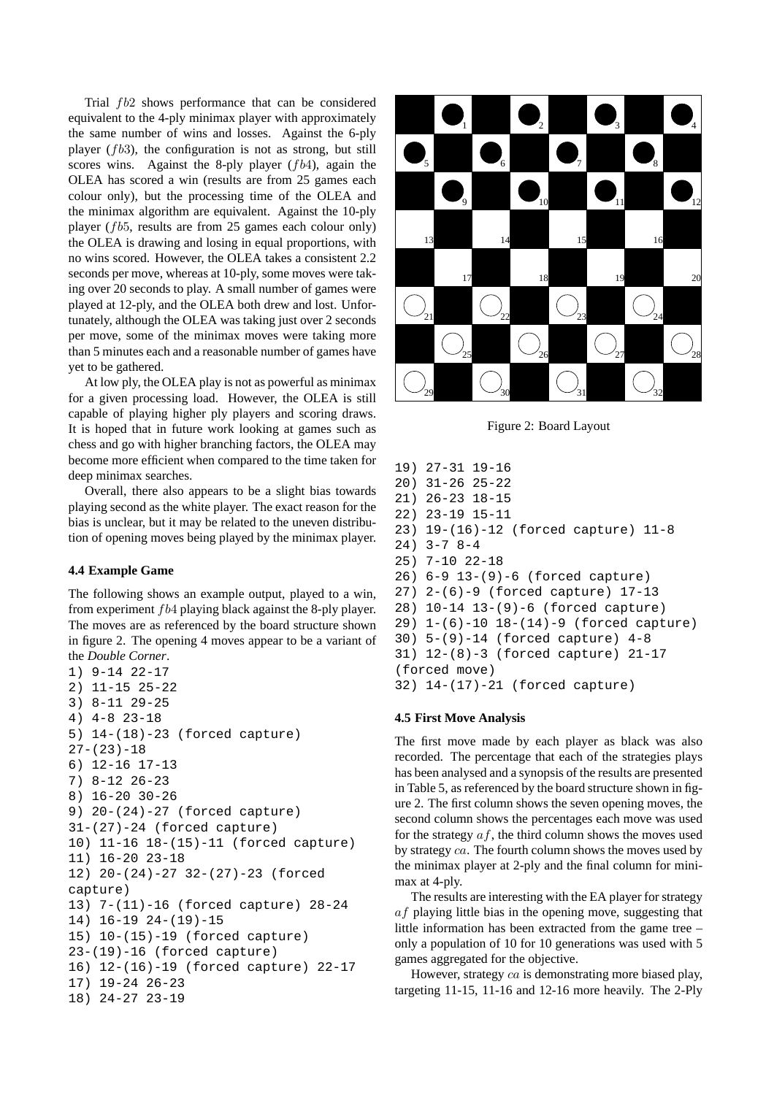Trial  $fb2$  shows performance that can be considered equivalent to the 4-ply minimax player with approximately the same number of wins and losses. Against the 6-ply player  $(fb3)$ , the configuration is not as strong, but still scores wins. Against the 8-ply player  $(fb4)$ , again the OLEA has scored a win (results are from 25 games each colour only), but the processing time of the OLEA and the minimax algorithm are equivalent. Against the 10-ply player (fb5, results are from 25 games each colour only) the OLEA is drawing and losing in equal proportions, with no wins scored. However, the OLEA takes a consistent 2.2 seconds per move, whereas at 10-ply, some moves were taking over 20 seconds to play. A small number of games were played at 12-ply, and the OLEA both drew and lost. Unfortunately, although the OLEA was taking just over 2 seconds per move, some of the minimax moves were taking more than 5 minutes each and a reasonable number of games have yet to be gathered.

At low ply, the OLEA play is not as powerful as minimax for a given processing load. However, the OLEA is still capable of playing higher ply players and scoring draws. It is hoped that in future work looking at games such as chess and go with higher branching factors, the OLEA may become more efficient when compared to the time taken for deep minimax searches.

Overall, there also appears to be a slight bias towards playing second as the white player. The exact reason for the bias is unclear, but it may be related to the uneven distribution of opening moves being played by the minimax player.

### **4.4 Example Game**

The following shows an example output, played to a win, from experiment fb4 playing black against the 8-ply player. The moves are as referenced by the board structure shown in figure 2. The opening 4 moves appear to be a variant of the *Double Corner*.

```
1) 9-14 22-17
2) 11-15 25-22
3) 8-11 29-25
4) 4-8 23-18
5) 14-(18)-23 (forced capture)
27-(23)-186) 12-16 17-13
7) 8-12 26-23
8) 16-20 30-26
9) 20-(24)-27 (forced capture)
31-(27)-24 (forced capture)
10) 11-16 18-(15)-11 (forced capture)
11) 16-20 23-18
12) 20-(24)-27 32-(27)-23 (forced
capture)
13) 7-(11)-16 (forced capture) 28-24
14) 16-19 24-(19)-15
15) 10-(15)-19 (forced capture)
23-(19)-16 (forced capture)
16) 12-(16)-19 (forced capture) 22-17
17) 19-24 26-23
18) 24-27 23-19
```


Figure 2: Board Layout

19) 27-31 19-16 20) 31-26 25-22 21) 26-23 18-15 22) 23-19 15-11 23) 19-(16)-12 (forced capture) 11-8 24) 3-7 8-4 25) 7-10 22-18 26) 6-9 13-(9)-6 (forced capture) 27) 2-(6)-9 (forced capture) 17-13 28) 10-14 13-(9)-6 (forced capture) 29) 1-(6)-10 18-(14)-9 (forced capture) 30) 5-(9)-14 (forced capture) 4-8 31) 12-(8)-3 (forced capture) 21-17 (forced move) 32) 14-(17)-21 (forced capture)

## **4.5 First Move Analysis**

The first move made by each player as black was also recorded. The percentage that each of the strategies plays has been analysed and a synopsis of the results are presented in Table 5, as referenced by the board structure shown in figure 2. The first column shows the seven opening moves, the second column shows the percentages each move was used for the strategy  $af$ , the third column shows the moves used by strategy ca. The fourth column shows the moves used by the minimax player at 2-ply and the final column for minimax at 4-ply.

The results are interesting with the EA player for strategy af playing little bias in the opening move, suggesting that little information has been extracted from the game tree – only a population of 10 for 10 generations was used with 5 games aggregated for the objective.

However, strategy ca is demonstrating more biased play, targeting 11-15, 11-16 and 12-16 more heavily. The 2-Ply